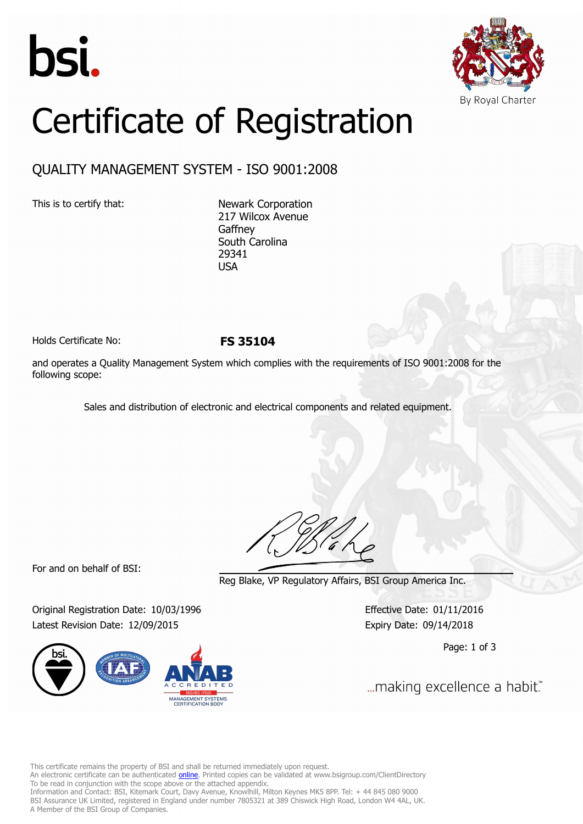



## Certificate of Registration

## QUALITY MANAGEMENT SYSTEM - ISO 9001:2008

This is to certify that: Newark Corporation 217 Wilcox Avenue **Gaffney** South Carolina 29341 USA

Holds Certificate No: **FS 35104**

and operates a Quality Management System which complies with the requirements of ISO 9001:2008 for the following scope:

Sales and distribution of electronic and electrical components and related equipment.

For and on behalf of BSI:

Reg Blake, VP Regulatory Affairs, BSI Group America Inc.

Original Registration Date: 10/03/1996 Effective Date: 01/11/2016 Latest Revision Date: 12/09/2015 Expiry Date: 09/14/2018



Page: 1 of 3

... making excellence a habit."

This certificate remains the property of BSI and shall be returned immediately upon request.

An electronic certificate can be authenticated *[online](https://pgplus.bsigroup.com/CertificateValidation/CertificateValidator.aspx?CertificateNumber=FS+35104&ReIssueDate=09%2f12%2f2015&Template=inc)*. Printed copies can be validated at www.bsigroup.com/ClientDirectory To be read in conjunction with the scope above or the attached appendix.

Information and Contact: BSI, Kitemark Court, Davy Avenue, Knowlhill, Milton Keynes MK5 8PP. Tel: + 44 845 080 9000 BSI Assurance UK Limited, registered in England under number 7805321 at 389 Chiswick High Road, London W4 4AL, UK. A Member of the BSI Group of Companies.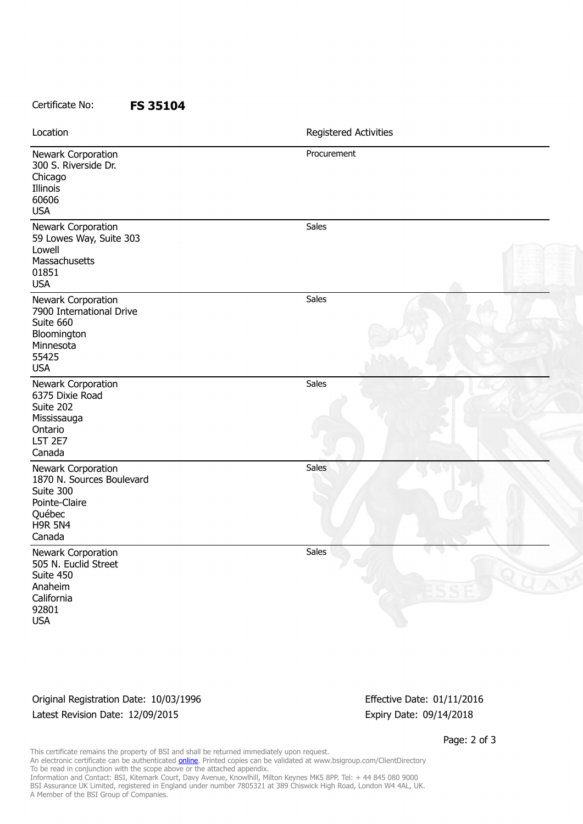## Certificate No: **FS 35104**

| Location                                                                                                            | Registered Activities |
|---------------------------------------------------------------------------------------------------------------------|-----------------------|
| Newark Corporation<br>300 S. Riverside Dr.<br>Chicago<br>Illinois<br>60606<br><b>USA</b>                            | Procurement           |
| Newark Corporation<br>59 Lowes Way, Suite 303<br>Lowell<br>Massachusetts<br>01851<br><b>USA</b>                     | Sales                 |
| Newark Corporation<br>7900 International Drive<br>Suite 660<br>Bloomington<br>Minnesota<br>55425<br><b>USA</b>      | Sales                 |
| Newark Corporation<br>6375 Dixie Road<br>Suite 202<br>Mississauga<br>Ontario<br>L5T 2E7<br>Canada                   | Sales                 |
| Newark Corporation<br>1870 N. Sources Boulevard<br>Suite 300<br>Pointe-Claire<br>Québec<br><b>H9R 5N4</b><br>Canada | <b>Sales</b>          |
| Newark Corporation<br>505 N. Euclid Street<br>Suite 450<br>Anaheim<br>California<br>92801<br><b>USA</b>             | Sales                 |

Original Registration Date: 10/03/1996 Effective Date: 01/11/2016 Latest Revision Date: 12/09/2015 Expiry Date: 09/14/2018

Page: 2 of 3

This certificate remains the property of BSI and shall be returned immediately upon request. An electronic certificate can be authenticated <u>[online](https://pgplus.bsigroup.com/CertificateValidation/CertificateValidator.aspx?CertificateNumber=FS+35104&ReIssueDate=09%2f12%2f2015&Template=inc)</u>. Printed copies can be validated at www.bsigroup.com/ClientDirectory To be read in conjunction with the scope above or the attached appendix. Information and Contact: BSI, Kitemark Court, Davy Avenue, Knowlhill, Milton Keynes MK5 8PP. Tel: + 44 845 080 9000 BSI Assurance UK Limited, registered in England under number 7805321 at 389 Chiswick High Road, London W4 4AL, UK. A Member of the BSI Group of Companies.